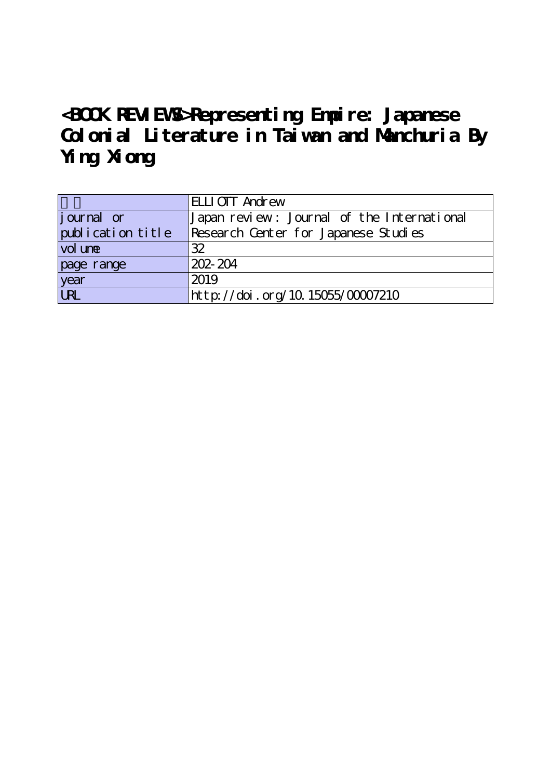## **<BOOK REVIEWS>Representing Empire: Japanese Colonial Literature in Taiwan and Manchuria By Ying Xiong**

|                   | <b>ELLIOTT</b> Andrew                      |
|-------------------|--------------------------------------------|
| journal or        | Japan review: Journal of the International |
| publication title | Research Center for Japanese Studies       |
| vol une           | 32                                         |
| page range        | $202 - 204$                                |
| year<br>URL       | 2019                                       |
|                   | http://doi.org/10.15055/00007210           |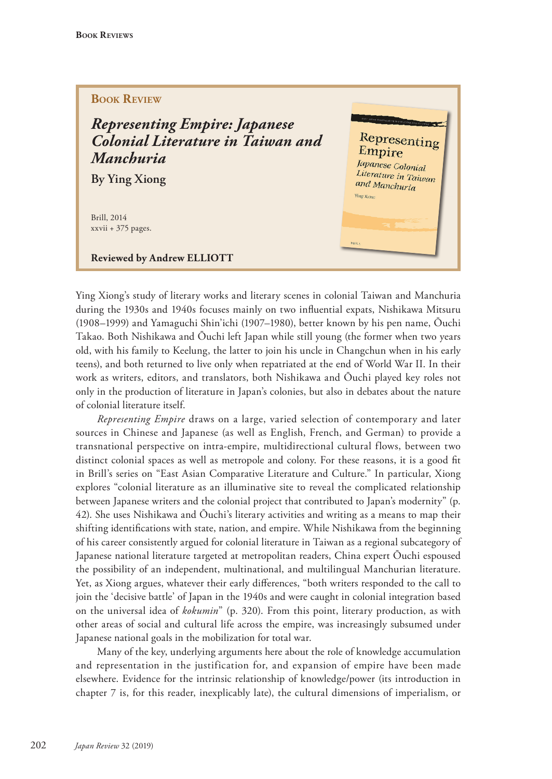## **BOOK REVIEW**

*Representing Empire: Japanese Colonial Literature in Taiwan and Manchuria*

**By Ying Xiong**

Brill, 2014 xxvii + 375 pages.

**Reviewed by Andrew ELLIOTT**



Ying Xiong's study of literary works and literary scenes in colonial Taiwan and Manchuria during the 1930s and 1940s focuses mainly on two influential expats, Nishikawa Mitsuru (1908–1999) and Yamaguchi Shin'ichi (1907–1980), better known by his pen name, Ōuchi Takao. Both Nishikawa and Ōuchi left Japan while still young (the former when two years old, with his family to Keelung, the latter to join his uncle in Changchun when in his early teens), and both returned to live only when repatriated at the end of World War II. In their work as writers, editors, and translators, both Nishikawa and Ōuchi played key roles not only in the production of literature in Japan's colonies, but also in debates about the nature of colonial literature itself.

*Representing Empire* draws on a large, varied selection of contemporary and later sources in Chinese and Japanese (as well as English, French, and German) to provide a transnational perspective on intra-empire, multidirectional cultural flows, between two distinct colonial spaces as well as metropole and colony. For these reasons, it is a good fit in Brill's series on "East Asian Comparative Literature and Culture." In particular, Xiong explores "colonial literature as an illuminative site to reveal the complicated relationship between Japanese writers and the colonial project that contributed to Japan's modernity" (p. 42). She uses Nishikawa and Ōuchi's literary activities and writing as a means to map their shifting identifications with state, nation, and empire. While Nishikawa from the beginning of his career consistently argued for colonial literature in Taiwan as a regional subcategory of Japanese national literature targeted at metropolitan readers, China expert Ōuchi espoused the possibility of an independent, multinational, and multilingual Manchurian literature. Yet, as Xiong argues, whatever their early differences, "both writers responded to the call to join the 'decisive battle' of Japan in the 1940s and were caught in colonial integration based on the universal idea of *kokumin*" (p. 320). From this point, literary production, as with other areas of social and cultural life across the empire, was increasingly subsumed under Japanese national goals in the mobilization for total war.

Many of the key, underlying arguments here about the role of knowledge accumulation and representation in the justification for, and expansion of empire have been made elsewhere. Evidence for the intrinsic relationship of knowledge/power (its introduction in chapter 7 is, for this reader, inexplicably late), the cultural dimensions of imperialism, or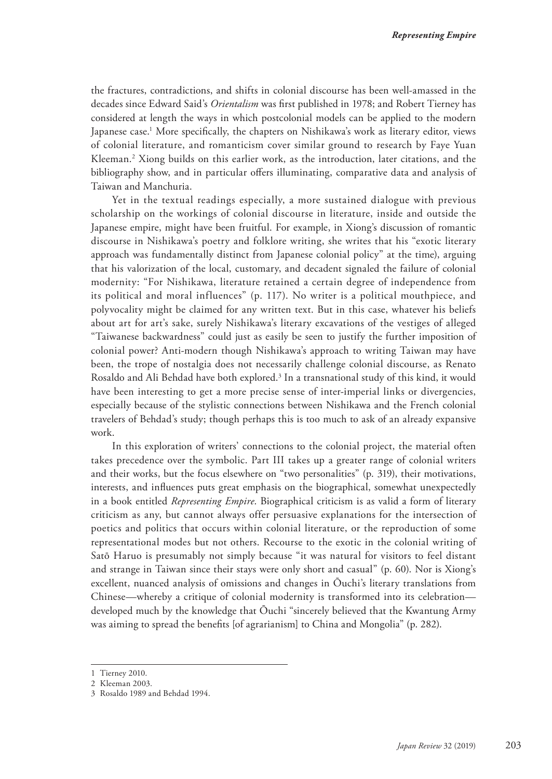the fractures, contradictions, and shifts in colonial discourse has been well-amassed in the decades since Edward Said's *Orientalism* was first published in 1978; and Robert Tierney has considered at length the ways in which postcolonial models can be applied to the modern Japanese case.<sup>1</sup> More specifically, the chapters on Nishikawa's work as literary editor, views of colonial literature, and romanticism cover similar ground to research by Faye Yuan Kleeman.2 Xiong builds on this earlier work, as the introduction, later citations, and the bibliography show, and in particular offers illuminating, comparative data and analysis of Taiwan and Manchuria.

Yet in the textual readings especially, a more sustained dialogue with previous scholarship on the workings of colonial discourse in literature, inside and outside the Japanese empire, might have been fruitful. For example, in Xiong's discussion of romantic discourse in Nishikawa's poetry and folklore writing, she writes that his "exotic literary approach was fundamentally distinct from Japanese colonial policy" at the time), arguing that his valorization of the local, customary, and decadent signaled the failure of colonial modernity: "For Nishikawa, literature retained a certain degree of independence from its political and moral influences" (p. 117). No writer is a political mouthpiece, and polyvocality might be claimed for any written text. But in this case, whatever his beliefs about art for art's sake, surely Nishikawa's literary excavations of the vestiges of alleged "Taiwanese backwardness" could just as easily be seen to justify the further imposition of colonial power? Anti-modern though Nishikawa's approach to writing Taiwan may have been, the trope of nostalgia does not necessarily challenge colonial discourse, as Renato Rosaldo and Ali Behdad have both explored.<sup>3</sup> In a transnational study of this kind, it would have been interesting to get a more precise sense of inter-imperial links or divergencies, especially because of the stylistic connections between Nishikawa and the French colonial travelers of Behdad's study; though perhaps this is too much to ask of an already expansive work.

In this exploration of writers' connections to the colonial project, the material often takes precedence over the symbolic. Part III takes up a greater range of colonial writers and their works, but the focus elsewhere on "two personalities" (p. 319), their motivations, interests, and influences puts great emphasis on the biographical, somewhat unexpectedly in a book entitled *Representing Empire*. Biographical criticism is as valid a form of literary criticism as any, but cannot always offer persuasive explanations for the intersection of poetics and politics that occurs within colonial literature, or the reproduction of some representational modes but not others. Recourse to the exotic in the colonial writing of Satō Haruo is presumably not simply because "it was natural for visitors to feel distant and strange in Taiwan since their stays were only short and casual" (p. 60). Nor is Xiong's excellent, nuanced analysis of omissions and changes in Ōuchi's literary translations from Chinese—whereby a critique of colonial modernity is transformed into its celebration developed much by the knowledge that Ōuchi "sincerely believed that the Kwantung Army was aiming to spread the benefits [of agrarianism] to China and Mongolia" (p. 282).

<sup>1</sup> Tierney 2010.

<sup>2</sup> Kleeman 2003.

<sup>3</sup> Rosaldo 1989 and Behdad 1994.